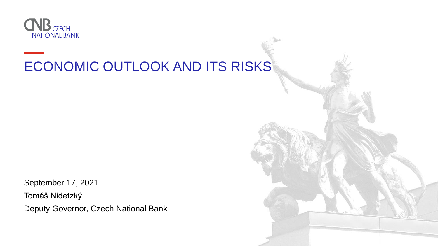

# ECONOMIC OUTLOOK AND ITS RISKS

September 17, 2021 Tomáš Nidetzký Deputy Governor, Czech National Bank

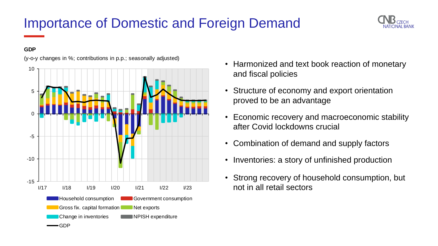# Importance of Domestic and Foreign Demand

- Harmonized and text book reaction of monetary and fiscal policies
- Structure of economy and export orientation proved to be an advantage
- Economic recovery and macroeconomic stability after Covid lockdowns crucial
- Combination of demand and supply factors
- Inventories: a story of unfinished production
- Strong recovery of household consumption, but not in all retail sectors



#### **GDP**

(y-o-y changes in %; contributions in p.p.; seasonally adjusted)



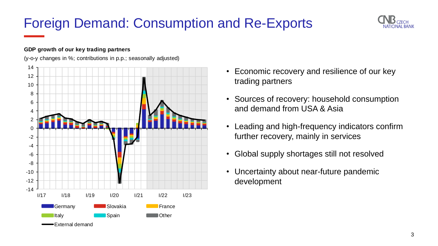## Foreign Demand: Consumption and Re-Exports

- Economic recovery and resilience of our key trading partners
- Sources of recovery: household consumption and demand from USA & Asia
- Leading and high-frequency indicators confirm further recovery, mainly in services
- Global supply shortages still not resolved
- Uncertainty about near-future pandemic development



### **GDP growth of our key trading partners**

(y-o-y changes in %; contributions in p.p.; seasonally adjusted)



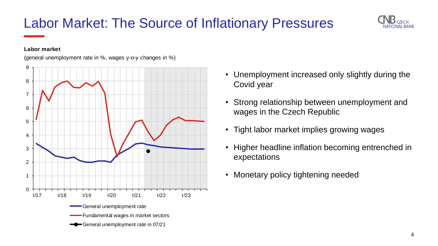- Unemployment increased only slightly during the Covid year
- Strong relationship between unemployment and wages in the Czech Republic
- Tight labor market implies growing wages
- Higher headline inflation becoming entrenched in expectations
- Monetary policy tightening needed

### Labor Market: The Source of Inflationary Pressures



#### **Labor market**

(general unemployment rate in %, wages y-o-y changes in %)



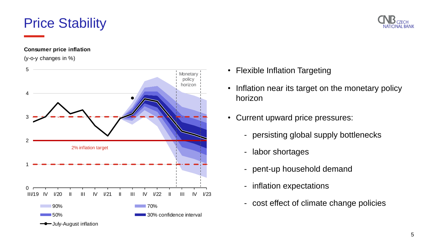## Price Stability

- Flexible Inflation Targeting
- Inflation near its target on the monetary policy horizon
- Current upward price pressures:
	- persisting global supply bottlenecks
	- labor shortages
	- pent-up household demand
	- inflation expectations
	- cost effect of climate change policies



### **Consumer price inflation**





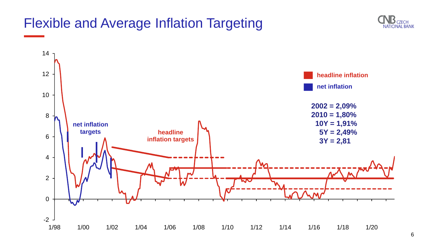

### Flexible and Average Inflation Targeting





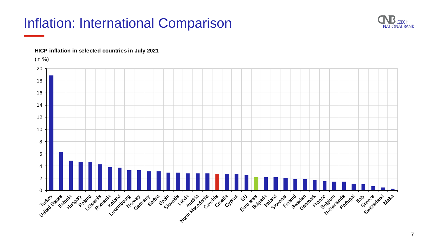### Inflation: International Comparison







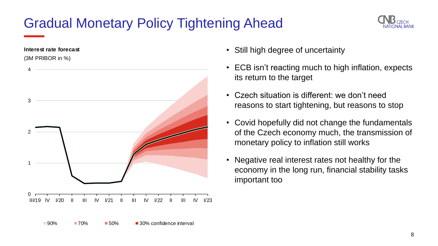# Gradual Monetary Policy Tightening Ahead

- Still high degree of uncertainty
- ECB isn't reacting much to high inflation, expects its return to the target
- Czech situation is different: we don't need reasons to start tightening, but reasons to stop
- Covid hopefully did not change the fundamentals of the Czech economy much, the transmission of monetary policy to inflation still works
- Negative real interest rates not healthy for the economy in the long run, financial stability tasks important too



#### **Interest rate forecast**

(3M PRIBOR in %)